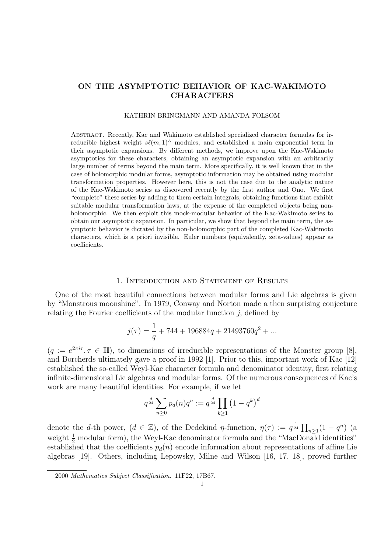# ON THE ASYMPTOTIC BEHAVIOR OF KAC-WAKIMOTO CHARACTERS

### KATHRIN BRINGMANN AND AMANDA FOLSOM

Abstract. Recently, Kac and Wakimoto established specialized character formulas for irreducible highest weight  $s\ell(m, 1)^\wedge$  modules, and established a main exponential term in their asymptotic expansions. By different methods, we improve upon the Kac-Wakimoto asymptotics for these characters, obtaining an asymptotic expansion with an arbitrarily large number of terms beyond the main term. More specifically, it is well known that in the case of holomorphic modular forms, asymptotic information may be obtained using modular transformation properties. However here, this is not the case due to the analytic nature of the Kac-Wakimoto series as discovered recently by the first author and Ono. We first "complete" these series by adding to them certain integrals, obtaining functions that exhibit suitable modular transformation laws, at the expense of the completed objects being nonholomorphic. We then exploit this mock-modular behavior of the Kac-Wakimoto series to obtain our asymptotic expansion. In particular, we show that beyond the main term, the asymptotic behavior is dictated by the non-holomorphic part of the completed Kac-Wakimoto characters, which is a priori invisible. Euler numbers (equivalently, zeta-values) appear as coefficients.

### 1. Introduction and Statement of Results

One of the most beautiful connections between modular forms and Lie algebras is given by "Monstrous moonshine". In 1979, Conway and Norton made a then surprising conjecture relating the Fourier coefficients of the modular function  $i$ , defined by

$$
j(\tau) = \frac{1}{q} + 744 + 196884q + 21493760q^2 + \dots
$$

 $(q := e^{2\pi i \tau}, \tau \in \mathbb{H})$ , to dimensions of irreducible representations of the Monster group [8], and Borcherds ultimately gave a proof in 1992 [1]. Prior to this, important work of Kac [12] established the so-called Weyl-Kac character formula and denominator identity, first relating infinite-dimensional Lie algebras and modular forms. Of the numerous consequences of Kac's work are many beautiful identities. For example, if we let

$$
q^{\frac{d}{24}} \sum_{n \ge 0} p_d(n) q^n := q^{\frac{d}{24}} \prod_{k \ge 1} (1 - q^k)^d
$$

denote the *d*-th power,  $(d \in \mathbb{Z})$ , of the Dedekind *η*-function,  $\eta(\tau) := q^{\frac{1}{24}} \prod_{n \geq 1} (1 - q^n)$  (a weight  $\frac{1}{2}$  modular form), the Weyl-Kac denominator formula and the "MacDonald identities" established that the coefficients  $p_d(n)$  encode information about representations of affine Lie algebras [19]. Others, including Lepowsky, Milne and Wilson [16, 17, 18], proved further

<sup>2000</sup> Mathematics Subject Classification. 11F22, 17B67.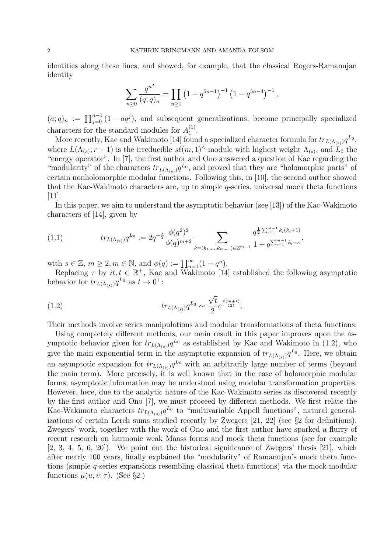identities along these lines, and showed, for example, that the classical Rogers-Ramanujan identity

$$
\sum_{n\geq 0} \frac{q^{n^2}}{(q;q)_n} = \prod_{n\geq 1} \left(1 - q^{5n-1}\right)^{-1} \left(1 - q^{5n-4}\right)^{-1},
$$

 $(a;q)_n := \prod_{j=0}^{n-1} (1 - aq^j)$ , and subsequent generalizations, become principally specialized characters for the standard modules for  $A_1^{(1)}$  $\binom{1}{1}$ .

More recently, Kac and Wakimoto [14] found a specialized character formula for  $tr_{L(\Lambda_{(s)})}q^{L_0}$ , where  $L(\Lambda_{(s)}; r+1)$  is the irreducible  $s\ell(m, 1)$ <sup>^</sup> module with highest weight  $\Lambda_{(s)}$ , and  $\tilde{L}_0$  the "energy operator". In [7], the first author and Ono answered a question of Kac regarding the "modularity" of the characters  $tr_{L(\Lambda_{(s)})} q^{L_0}$ , and proved that they are "holomorphic parts" of certain nonholomorphic modular functions. Following this, in [10], the second author showed that the Kac-Wakimoto characters are, up to simple q-series, universal mock theta functions [11].

In this paper, we aim to understand the asymptotic behavior (see [13]) of the Kac-Wakimoto characters of [14], given by

$$
(1.1) \t tr_{L(\Lambda_{(s)})} q^{L_0} := 2q^{-\frac{s}{2}} \frac{\phi(q^2)^2}{\phi(q)^{m+2}} \sum_{k=(k_1,\ldots,k_{m-1})\in\mathbb{Z}^{m-1}} \frac{q^{\frac{1}{2}\sum_{i=1}^{m-1}k_i(k_i+1)}}{1+q^{\sum_{i=1}^{m-1}k_i-s}},
$$

with  $s \in \mathbb{Z}$ ,  $m \geq 2, m \in \mathbb{N}$ , and  $\phi(q) := \prod_{n=1}^{\infty} (1 - q^n)$ .

Replacing  $\tau$  by  $it, t \in \mathbb{R}^+$ , Kac and Wakimoto [14] established the following asymptotic behavior for  $tr_{L(\Lambda_{(s)})}q^{L_0}$  as  $t \to 0^+$ :

(1.2) 
$$
tr_{L(\Lambda_{(s)})} q^{L_0} \sim \frac{\sqrt{t}}{2} e^{\frac{\pi (m+1)}{12t}}.
$$

Their methods involve series manipulations and modular transformations of theta functions.

Using completely different methods, our main result in this paper improves upon the asymptotic behavior given for  $tr_{L(\Lambda_{(s)})} q^{L_0}$  as established by Kac and Wakimoto in (1.2), who give the main exponential term in the asymptotic expansion of  $tr_{L(\Lambda_{(s)})}q^{L_0}$ . Here, we obtain an asymptotic expansion for  $tr_{L(\Lambda_{(s)})} q^{L_0}$  with an arbitrarily large number of terms (beyond the main term). More precisely, it is well known that in the case of holomorphic modular forms, asymptotic information may be understood using modular transformation properties. However, here, due to the analytic nature of the Kac-Wakimoto series as discovered recently by the first author and Ono [7], we must proceed by different methods. We first relate the Kac-Wakimoto characters  $tr_{L(\Lambda_{(s)})} q^{L_0}$  to "multivariable Appell functions", natural generalizations of certain Lerch sums studied recently by Zwegers [21, 22] (see §2 for definitions). Zwegers' work, together with the work of Ono and the first author have sparked a flurry of recent research on harmonic weak Maass forms and mock theta functions (see for example  $[2, 3, 4, 5, 6, 20]$ . We point out the historical significance of Zwegers' thesis  $[21]$ , which after nearly 100 years, finally explained the "modularity" of Ramanujan's mock theta functions (simple q-series expansions resembling classical theta functions) via the mock-modular functions  $\mu(u, v; \tau)$ . (See §2.)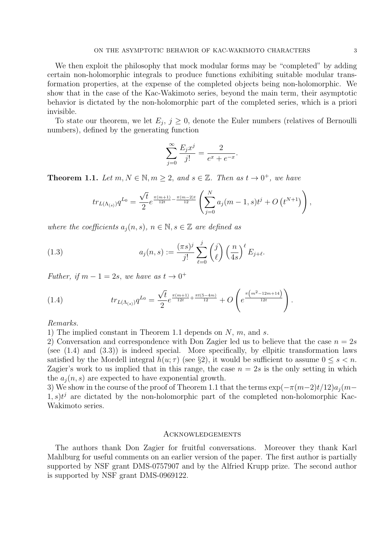We then exploit the philosophy that mock modular forms may be "completed" by adding certain non-holomorphic integrals to produce functions exhibiting suitable modular transformation properties, at the expense of the completed objects being non-holomorphic. We show that in the case of the Kac-Wakimoto series, beyond the main term, their asymptotic behavior is dictated by the non-holomorphic part of the completed series, which is a priori invisible.

To state our theorem, we let  $E_j$ ,  $j \geq 0$ , denote the Euler numbers (relatives of Bernoulli numbers), defined by the generating function

$$
\sum_{j=0}^{\infty} \frac{E_j x^j}{j!} = \frac{2}{e^x + e^{-x}}.
$$

**Theorem 1.1.** Let  $m, N \in \mathbb{N}, m \geq 2$ , and  $s \in \mathbb{Z}$ . Then as  $t \to 0^+$ , we have

$$
tr_{L(\Lambda_{(s)})} q^{L_0} = \frac{\sqrt{t}}{2} e^{\frac{\pi (m+1)}{12t} - \frac{\pi (m-2)t}{12}} \left( \sum_{j=0}^N a_j(m-1,s)t^j + O\left(t^{N+1}\right) \right),
$$

where the coefficients  $a_i(n, s)$ ,  $n \in \mathbb{N}$ ,  $s \in \mathbb{Z}$  are defined as

(1.3) 
$$
a_j(n,s) := \frac{(\pi s)^j}{j!} \sum_{\ell=0}^j \binom{j}{\ell} \left(\frac{n}{4s}\right)^{\ell} E_{j+\ell}.
$$

Futher, if  $m - 1 = 2s$ , we have as  $t \to 0^+$ 

(1.4) 
$$
tr_{L(\Lambda_{(s)})} q^{L_0} = \frac{\sqrt{t}}{2} e^{\frac{\pi (m+1)}{12t} + \frac{\pi t (5-4m)}{12}} + O\left(e^{\frac{\pi \left(m^2-12m+14\right)}{12t}}\right).
$$

Remarks.

1) The implied constant in Theorem 1.1 depends on  $N$ ,  $m$ , and  $s$ .

2) Conversation and correspondence with Don Zagier led us to believe that the case  $n = 2s$ (see  $(1.4)$  and  $(3.3)$ ) is indeed special. More specifically, by ellpitic transformation laws satisfied by the Mordell integral  $h(u; \tau)$  (see §2), it would be sufficient to assume  $0 \leq s < n$ . Zagier's work to us implied that in this range, the case  $n = 2s$  is the only setting in which the  $a_i(n, s)$  are expected to have exponential growth.

3) We show in the course of the proof of Theorem 1.1 that the terms  $\exp(-\pi(m-2)t/12)a_i(m (1, s)t^j$  are dictated by the non-holomorphic part of the completed non-holomorphic Kac-Wakimoto series.

### Acknowledgements

The authors thank Don Zagier for fruitful conversations. Moreover they thank Karl Mahlburg for useful comments on an earlier version of the paper. The first author is partially supported by NSF grant DMS-0757907 and by the Alfried Krupp prize. The second author is supported by NSF grant DMS-0969122.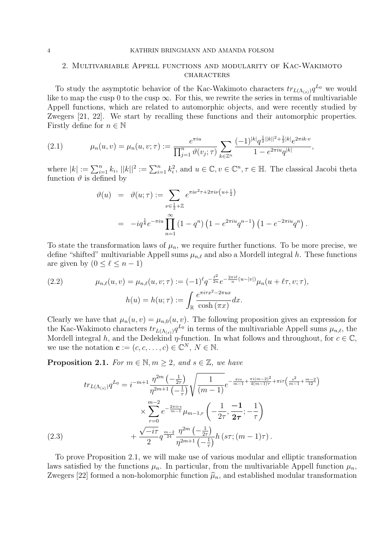#### 4 KATHRIN BRINGMANN AND AMANDA FOLSOM

## 2. Multivariable Appell functions and modularity of Kac-Wakimoto CHARACTERS

To study the asymptotic behavior of the Kac-Wakimoto characters  $tr_{L(\Lambda_{(s)})}q^{L_0}$  we would like to map the cusp 0 to the cusp  $\infty$ . For this, we rewrite the series in terms of multivariable Appell functions, which are related to automorphic objects, and were recently studied by Zwegers [21, 22]. We start by recalling these functions and their automorphic properties. Firstly define for  $n \in \mathbb{N}$ 

(2.1) 
$$
\mu_n(u,v) = \mu_n(u,v;\tau) := \frac{e^{\pi i u}}{\prod_{j=1}^n \vartheta(v_j;\tau)} \sum_{k \in \mathbb{Z}^n} \frac{(-1)^{|k|} q^{\frac{1}{2}||k||^2 + \frac{1}{2}|k|} e^{2\pi i k \cdot v}}{1 - e^{2\pi i u} q^{|k|}},
$$

where  $|k| := \sum_{i=1}^n k_i$ ,  $||k||^2 := \sum_{i=1}^n k_i^2$ , and  $u \in \mathbb{C}$ ,  $v \in \mathbb{C}^n$ ,  $\tau \in \mathbb{H}$ . The classical Jacobi theta function  $\vartheta$  is defined by

$$
\vartheta(u) = \vartheta(u;\tau) := \sum_{\nu \in \frac{1}{2} + \mathbb{Z}} e^{\pi i \nu^2 \tau + 2\pi i \nu \left(u + \frac{1}{2}\right)} \n= -i q^{\frac{1}{8}} e^{-\pi i u} \prod_{n=1}^{\infty} (1 - q^n) \left(1 - e^{2\pi i u} q^{n-1}\right) \left(1 - e^{-2\pi i u} q^n\right).
$$

To state the transformation laws of  $\mu_n$ , we require further functions. To be more precise, we define "shifted" multivariable Appell sums  $\mu_{n,\ell}$  and also a Mordell integral h. These functions are given by  $(0 \leq \ell \leq n - 1)$ 

(2.2) 
$$
\mu_{n,\ell}(u,v) = \mu_{n,\ell}(u,v;\tau) := (-1)^{\ell} q^{-\frac{\ell^2}{2n}} e^{-\frac{2\pi i \ell}{n}(u-|v|)} \mu_n(u+\ell \tau, v; \tau),
$$

$$
h(u) = h(u;\tau) := \int_{\mathbb{R}} \frac{e^{\pi i \tau x^2 - 2\pi ux}}{\cosh(\pi x)} dx.
$$

Clearly we have that  $\mu_n(u, v) = \mu_{n,0}(u, v)$ . The following proposition gives an expression for the Kac-Wakimoto characters  $tr_{L(\Lambda_{(s)})} q^{L_0}$  in terms of the multivariable Appell sums  $\mu_{n,\ell}$ , the Mordell integral h, and the Dedekind  $\eta$ -function. In what follows and throughout, for  $c \in \mathbb{C}$ , we use the notation  $\mathbf{c} := (c, c, \dots, c) \in \mathbb{C}^N, N \in \mathbb{N}$ .

**Proposition 2.1.** For  $m \in \mathbb{N}, m \geq 2$ , and  $s \in \mathbb{Z}$ , we have

$$
tr_{L(\Lambda_{(s)})} q^{L_0} = i^{-m+1} \frac{\eta^{2m} \left(-\frac{1}{2\tau}\right)}{\eta^{2m+1} \left(-\frac{1}{\tau}\right)} \sqrt{\frac{1}{(m-1)}} e^{-\frac{\pi i s}{m-1} + \frac{\pi i (m-2)^2}{4(m-1)\tau} + \pi i \tau \left(\frac{s^2}{m-1} + \frac{m-2}{12}\right)} \times \sum_{r=0}^{m-2} e^{-\frac{2\pi i r s}{m-1}} \mu_{m-1,r} \left(-\frac{1}{2\tau}, \frac{-1}{2\tau}; -\frac{1}{\tau}\right) + \frac{\sqrt{-i\tau}}{2} q^{\frac{m-2}{24}} \frac{\eta^{2m} \left(-\frac{1}{2\tau}\right)}{\eta^{2m+1} \left(-\frac{1}{\tau}\right)} h\left(s\tau; (m-1)\tau\right).
$$
\n(2.3)

To prove Proposition 2.1, we will make use of various modular and elliptic transformation laws satisfied by the functions  $\mu_n$ . In particular, from the multivariable Appell function  $\mu_n$ , Zwegers [22] formed a non-holomorphic function  $\hat{\mu}_n$ , and established modular transformation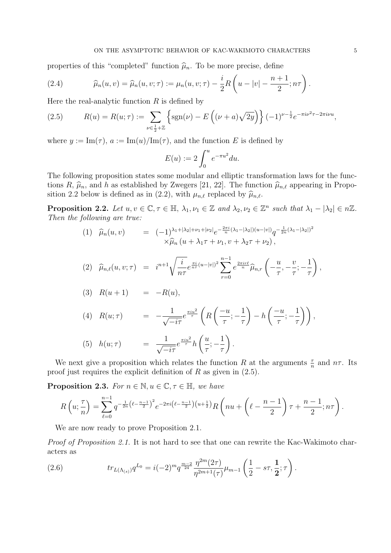properties of this "completed" function  $\hat{\mu}_n$ . To be more precise, define

(2.4) 
$$
\widehat{\mu}_n(u,v) = \widehat{\mu}_n(u,v;\tau) := \mu_n(u,v;\tau) - \frac{i}{2}R\left(u - |v| - \frac{n+1}{2}; n\tau\right).
$$

Here the real-analytic function  $R$  is defined by

(2.5) 
$$
R(u) = R(u; \tau) := \sum_{\nu \in \frac{1}{2} + \mathbb{Z}} \left\{ \text{sgn}(\nu) - E\left( (\nu + a) \sqrt{2y} \right) \right\} (-1)^{\nu - \frac{1}{2}} e^{-\pi i \nu^2 \tau - 2\pi i \nu u},
$$

where  $y := \text{Im}(\tau)$ ,  $a := \text{Im}(u)/\text{Im}(\tau)$ , and the function E is defined by

$$
E(u) := 2 \int_0^u e^{-\pi u^2} du.
$$

The following proposition states some modular and elliptic transformation laws for the functions R,  $\hat{\mu}_n$ , and h as established by Zwegers [21, 22]. The function  $\hat{\mu}_{n,\ell}$  appearing in Proposition 2.2 below is defined as in (2.2), with  $\mu_{n,\ell}$  replaced by  $\widehat{\mu}_{n,\ell}$ .

**Proposition 2.2.** Let  $u, v \in \mathbb{C}, \tau \in \mathbb{H}, \lambda_1, \nu_1 \in \mathbb{Z}$  and  $\lambda_2, \nu_2 \in \mathbb{Z}^n$  such that  $\lambda_1 - |\lambda_2| \in n\mathbb{Z}$ . Then the following are true:

$$
(1) \quad \widehat{\mu}_n(u,v) = (-1)^{\lambda_1 + |\lambda_2| + \nu_1 + |\nu_2|} e^{-\frac{2\pi i}{n}(\lambda_1 - |\lambda_2|)(u - |v|)} q^{-\frac{1}{2n}(\lambda_1 - |\lambda_2|)^2} \times \widehat{\mu}_n(u + \lambda_1 \tau + \nu_1, v + \lambda_2 \tau + \nu_2),
$$

$$
(2) \quad \widehat{\mu}_{n,\ell}(u,v;\tau) = i^{n+1} \sqrt{\frac{i}{n\tau}} e^{\frac{\pi i}{n\tau}(u-|v|)^2} \sum_{r=0}^{n-1} e^{\frac{2\pi ir\ell}{n}} \widehat{\mu}_{n,r} \left( -\frac{u}{\tau}, -\frac{v}{\tau}; -\frac{1}{\tau} \right),
$$

$$
(3) \quad R(u+1) \qquad = \qquad -R(u),
$$

(4) 
$$
R(u; \tau) = -\frac{1}{\sqrt{-i\tau}} e^{\frac{\pi i u^2}{\tau}} \left( R\left(\frac{-u}{\tau}; -\frac{1}{\tau}\right) - h\left(\frac{-u}{\tau}; -\frac{1}{\tau}\right) \right),
$$

(5) 
$$
h(u;\tau) = \frac{1}{\sqrt{-i\tau}}e^{\frac{\pi i u^2}{\tau}}h\left(\frac{u}{\tau};-\frac{1}{\tau}\right).
$$

We next give a proposition which relates the function R at the arguments  $\frac{\tau}{n}$  and  $n\tau$ . Its proof just requires the explicit definition of  $R$  as given in  $(2.5)$ .

**Proposition 2.3.** For  $n \in \mathbb{N}$ ,  $u \in \mathbb{C}$ ,  $\tau \in \mathbb{H}$ , we have

$$
R\left(u;\frac{\tau}{n}\right) = \sum_{\ell=0}^{n-1} q^{-\frac{1}{2n}\left(\ell - \frac{n-1}{2}\right)^2} e^{-2\pi i \left(\ell - \frac{n-1}{2}\right)\left(u+\frac{1}{2}\right)} R\left(nu+\left(\ell - \frac{n-1}{2}\right)\tau + \frac{n-1}{2};n\tau\right).
$$

We are now ready to prove Proposition 2.1.

Proof of Proposition 2.1. It is not hard to see that one can rewrite the Kac-Wakimoto characters as

(2.6) 
$$
tr_{L(\Lambda_{(s)})} q^{L_0} = i(-2)^m q^{\frac{m-2}{24}} \frac{\eta^{2m}(2\tau)}{\eta^{2m+1}(\tau)} \mu_{m-1} \left(\frac{1}{2} - s\tau, \frac{1}{2}; \tau\right).
$$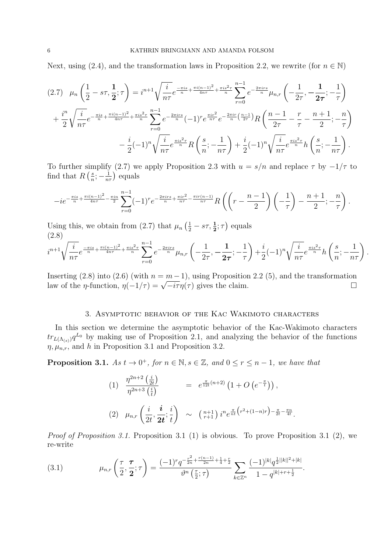Next, using (2.4), and the transformation laws in Proposition 2.2, we rewrite (for  $n \in \mathbb{N}$ )

$$
(2.7) \quad \mu_n\left(\frac{1}{2} - s\tau, \frac{1}{2}; \tau\right) = i^{n+1} \sqrt{\frac{i}{n\tau}} e^{-\frac{\pi i s}{n} + \frac{\pi i (n-1)^2}{4n\tau} + \frac{\pi i s^2 \tau}{n}} \sum_{r=0}^{n-1} e^{-\frac{2\pi i rs}{n}} \mu_{n,r} \left(-\frac{1}{2\tau}, -\frac{1}{2\tau}; -\frac{1}{\tau}\right) + \frac{i^n}{2} \sqrt{\frac{i}{n\tau}} e^{-\frac{\pi i s}{n} + \frac{\pi i (n-1)^2}{4n\tau} + \frac{\pi i s^2 \tau}{n}} \sum_{r=0}^{n-1} e^{-\frac{2\pi i rs}{n}} (-1)^r e^{\frac{\pi i r^2}{n\tau}} e^{-\frac{2\pi i r}{n}} \left(-\frac{1}{2\tau}\right) R \left(\frac{n-1}{2\tau} - \frac{r}{\tau} - \frac{n+1}{2}; -\frac{n}{\tau}\right) - \frac{i}{2} (-1)^n \sqrt{\frac{i}{n\tau}} e^{\frac{\pi i s^2 \tau}{n}} R \left(\frac{s}{n}; -\frac{1}{n\tau}\right) + \frac{i}{2} (-1)^n \sqrt{\frac{i}{n\tau}} e^{\frac{\pi i s^2 \tau}{n}} h \left(\frac{s}{n}; -\frac{1}{n\tau}\right).
$$

To further simplify (2.7) we apply Proposition 2.3 with  $u = s/n$  and replace  $\tau$  by  $-1/\tau$  to find that  $R\left(\frac{s}{n}\right)$  $\frac{s}{n}; -\frac{1}{n\tau}$  equals

$$
-ie^{-\frac{\pi is}{n}+\frac{\pi i(n-1)^2}{4n\tau}-\frac{\pi in}{2}}\sum_{r=0}^{n-1}(-1)^r e^{-\frac{2\pi i rs}{n}+\frac{\pi ir^2}{n\tau}-\frac{\pi ir(n-1)}{n\tau}}R\left(\left(r-\frac{n-1}{2}\right)\left(-\frac{1}{\tau}\right)-\frac{n+1}{2};-\frac{n}{\tau}\right).
$$

Using this, we obtain from (2.7) that  $\mu_n\left(\frac{1}{2} - s\tau, \frac{1}{2}; \tau\right)$  equals (2.8)

$$
i^{n+1}\sqrt{\frac{i}{n\tau}}e^{\frac{-\pi is}{n}+\frac{\pi i(n-1)^2}{4n\tau}+\frac{\pi is^2\tau}{n}}\sum_{r=0}^{n-1}e^{-\frac{2\pi irs}{n}}\mu_{n,r}\left(-\frac{1}{2\tau},-\frac{1}{2\tau};-\frac{1}{\tau}\right)+\frac{i}{2}(-1)^n\sqrt{\frac{i}{n\tau}}e^{\frac{\pi is^2\tau}{n}}h\left(\frac{s}{n};-\frac{1}{n\tau}\right).
$$

Inserting (2.8) into (2.6) (with  $n = m - 1$ ), using Proposition 2.2 (5), and the transformation Inserting (2.8) Into (2.0) (with  $n = m - 1$ ), using Proposition 2.2 (3), and the transformation<br>law of the *η*-function,  $\eta(-1/\tau) = \sqrt{-i\tau}\eta(\tau)$  gives the claim.

### 3. Asymptotic behavior of the Kac Wakimoto characters

In this section we determine the asymptotic behavior of the Kac-Wakimoto characters  $tr_{L(\Lambda_{(s)})} q^{L_0}$  by making use of Proposition 2.1, and analyzing the behavior of the functions  $\eta, \mu_{n,r}$ , and h in Proposition 3.1 and Proposition 3.2.

**Proposition 3.1.** As  $t \to 0^+$ , for  $n \in \mathbb{N}$ ,  $s \in \mathbb{Z}$ , and  $0 \le r \le n-1$ , we have that

(1) 
$$
\frac{\eta^{2n+2} \left(\frac{i}{2t}\right)}{\eta^{2n+3} \left(\frac{i}{t}\right)} = e^{\frac{\pi}{12t}(n+2)} \left(1 + O\left(e^{-\frac{\pi}{t}}\right)\right),
$$
  
(2) 
$$
\mu_{n,r} \left(\frac{i}{2t}, \frac{i}{2t}; \frac{i}{t}\right) \sim \binom{n+1}{r+1} i^n e^{\frac{\pi}{nt} \left(r^2 + (1-n)r\right) - \frac{\pi}{2t} - \frac{\pi n}{4t}}.
$$

Proof of Proposition 3.1. Proposition 3.1 (1) is obvious. To prove Proposition 3.1 (2), we re-write

(3.1) 
$$
\mu_{n,r}\left(\frac{\tau}{2},\frac{\tau}{2};\tau\right) = \frac{(-1)^r q^{-\frac{r^2}{2n}+\frac{r(n-1)}{2n}+\frac{1}{4}+\frac{r}{2}}}{\vartheta^n\left(\frac{\tau}{2};\tau\right)} \sum_{k\in\mathbb{Z}^n} \frac{(-1)^{|k|} q^{\frac{1}{2}||k||^2+|k|}}{1-q^{|k|+r+\frac{1}{2}}}.
$$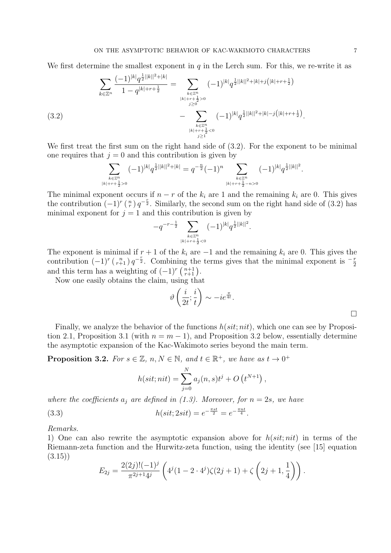We first determine the smallest exponent in  $q$  in the Lerch sum. For this, we re-write it as

$$
\sum_{k \in \mathbb{Z}^n} \frac{(-1)^{|k|} q^{\frac{1}{2}||k||^2 + |k|}}{1 - q^{|k| + r + \frac{1}{2}}} = \sum_{\substack{k \in \mathbb{Z}^n \\ |k| + r + \frac{1}{2} > 0 \\ j \ge 0}} (-1)^{|k|} q^{\frac{1}{2}||k||^2 + |k| + j\left(|k| + r + \frac{1}{2}\right)} \\
- \sum_{\substack{k \in \mathbb{Z}^n \\ |k| + r + \frac{1}{2} < 0}} (-1)^{|k|} q^{\frac{1}{2}||k||^2 + |k| - j\left(|k| + r + \frac{1}{2}\right)}.
$$
\n(3.2)

We first treat the first sum on the right hand side of  $(3.2)$ . For the exponent to be minimal one requires that  $j = 0$  and this contribution is given by

$$
\sum_{\substack{k\in\mathbb{Z}^n\\|k|+r+\frac{1}{2}>0}} (-1)^{|k|}q^{\frac{1}{2}||k||^2+|k|}=q^{-\frac{n}{2}}(-1)^n\sum_{\substack{k\in\mathbb{Z}^n\\|k|+r+\frac{1}{2}-n>0}} (-1)^{|k|}q^{\frac{1}{2}||k||^2}
$$

The minimal exponent occurs if  $n - r$  of the  $k_i$  are 1 and the remaining  $k_i$  are 0. This gives the contribution  $(-1)^r \binom{n}{r} q^{-\frac{r}{2}}$ . Similarly, the second sum on the right hand side of (3.2) has minimal exponent for  $j = 1$  and this contribution is given by

$$
-q^{-r-\frac{1}{2}}\sum_{\stackrel{k\in\mathbb{Z}^n}{|k|+r+\frac{1}{2}<0}}(-1)^{|k|}q^{\frac{1}{2}||k||^2}.
$$

The exponent is minimal if  $r + 1$  of the  $k_i$  are  $-1$  and the remaining  $k_i$  are 0. This gives the contribution  $(-1)^r \binom{n}{r+1} q^{-\frac{r}{2}}$ . Combining the terms gives that the minimal exponent is  $-\frac{r}{2}$ and this term has a weighting of  $(-1)^r \binom{n+1}{r+1}$ .

Now one easily obtains the claim, using that

$$
\vartheta\left(\frac{i}{2t};\frac{i}{t}\right) \sim -ie^{\frac{\pi}{4t}}.
$$

.

Finally, we analyze the behavior of the functions  $h(sit; nit)$ , which one can see by Proposition 2.1, Proposition 3.1 (with  $n = m - 1$ ), and Proposition 3.2 below, essentially determine the asymptotic expansion of the Kac-Wakimoto series beyond the main term.

**Proposition 3.2.** For  $s \in \mathbb{Z}$ ,  $n, N \in \mathbb{N}$ , and  $t \in \mathbb{R}^+$ , we have as  $t \to 0^+$ 

$$
h(sit;nit) = \sum_{j=0}^{N} a_j(n, s)t^{j} + O(t^{N+1}),
$$

where the coefficients  $a_i$  are defined in (1.3). Moreover, for  $n = 2s$ , we have

(3.3) 
$$
h(sit; 2sit) = e^{-\frac{\pi st}{2}} = e^{-\frac{\pi nt}{4}}.
$$

Remarks.

1) One can also rewrite the asymptotic expansion above for  $h(sit; nit)$  in terms of the Riemann-zeta function and the Hurwitz-zeta function, using the identity (see [15] equation (3.15))

$$
E_{2j} = \frac{2(2j)!(-1)^j}{\pi^{2j+1}4^j} \left( 4^j (1 - 2 \cdot 4^j) \zeta(2j+1) + \zeta\left(2j+1, \frac{1}{4}\right) \right).
$$

 $\Box$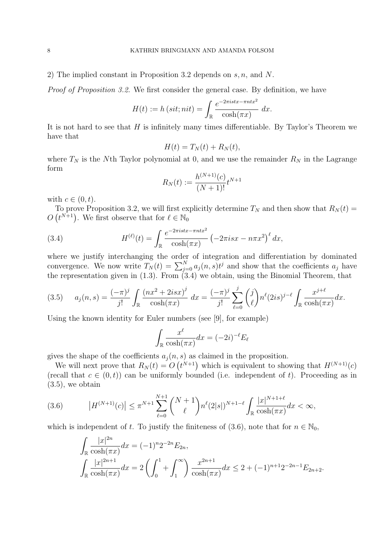2) The implied constant in Proposition 3.2 depends on s, n, and N.

Proof of Proposition 3.2. We first consider the general case. By definition, we have

$$
H(t) := h\left(sit; nit\right) = \int_{\mathbb{R}} \frac{e^{-2\pi i stx - \pi nt x^2}}{\cosh(\pi x)} \, dx.
$$

It is not hard to see that  $H$  is infinitely many times differentiable. By Taylor's Theorem we have that

$$
H(t) = T_N(t) + R_N(t),
$$

where  $T_N$  is the Nth Taylor polynomial at 0, and we use the remainder  $R_N$  in the Lagrange form

$$
R_N(t) := \frac{h^{(N+1)}(c)}{(N+1)!} t^{N+1}
$$

with  $c \in (0, t)$ .

To prove Proposition 3.2, we will first explicitly determine  $T_N$  and then show that  $R_N(t) =$  $O(t^{N+1})$ . We first observe that for  $\ell \in \mathbb{N}_0$ 

(3.4) 
$$
H^{(\ell)}(t) = \int_{\mathbb{R}} \frac{e^{-2\pi i stx - \pi nt x^2}}{\cosh(\pi x)} \left(-2\pi i s x - n\pi x^2\right)^{\ell} dx,
$$

where we justify interchanging the order of integration and differentiation by dominated convergence. We now write  $T_N(t) = \sum_{j=0}^N a_j(n,s)t^j$  and show that the coefficients  $a_j$  have the representation given in  $(1.3)$ . From  $(3.4)$  we obtain, using the Binomial Theorem, that

$$
(3.5) \t a_j(n,s) = \frac{(-\pi)^j}{j!} \int_{\mathbb{R}} \frac{(nx^2 + 2isx)^j}{\cosh(\pi x)} dx = \frac{(-\pi)^j}{j!} \sum_{\ell=0}^j {j \choose \ell} n^{\ell} (2is)^{j-\ell} \int_{\mathbb{R}} \frac{x^{j+\ell}}{\cosh(\pi x)} dx.
$$

Using the known identity for Euler numbers (see [9], for example)

$$
\int_{\mathbb{R}} \frac{x^{\ell}}{\cosh(\pi x)} dx = (-2i)^{-\ell} E_{\ell}
$$

gives the shape of the coefficients  $a_i(n, s)$  as claimed in the proposition.

We will next prove that  $R_N(t) = O(t^{N+1})$  which is equivalent to showing that  $H^{(N+1)}(c)$ (recall that  $c \in (0, t)$ ) can be uniformly bounded (i.e. independent of t). Proceeding as in  $(3.5)$ , we obtain

$$
(3.6) \t\t |H^{(N+1)}(c)| \le \pi^{N+1} \sum_{\ell=0}^{N+1} {N+1 \choose \ell} n^{\ell} (2|s|)^{N+1-\ell} \int_{\mathbb{R}} \frac{|x|^{N+1+\ell}}{\cosh(\pi x)} dx < \infty,
$$

which is independent of t. To justify the finiteness of (3.6), note that for  $n \in \mathbb{N}_0$ ,

$$
\int_{\mathbb{R}} \frac{|x|^{2n}}{\cosh(\pi x)} dx = (-1)^n 2^{-2n} E_{2n},
$$
\n
$$
\int_{\mathbb{R}} \frac{|x|^{2n+1}}{\cosh(\pi x)} dx = 2 \left( \int_0^1 + \int_1^\infty \right) \frac{x^{2n+1}}{\cosh(\pi x)} dx \le 2 + (-1)^{n+1} 2^{-2n-1} E_{2n+2}.
$$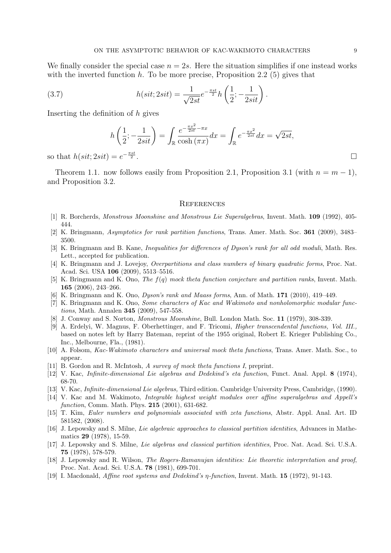We finally consider the special case  $n = 2s$ . Here the situation simplifies if one instead works with the inverted function  $h$ . To be more precise, Proposition 2.2 (5) gives that

(3.7) 
$$
h(sit; 2sit) = \frac{1}{\sqrt{2st}} e^{-\frac{\pi st}{2}} h\left(\frac{1}{2}; -\frac{1}{2sit}\right).
$$

Inserting the definition of  $h$  gives

$$
h\left(\frac{1}{2}; -\frac{1}{2sit}\right) = \int_{\mathbb{R}} \frac{e^{-\frac{\pi x^2}{2st} - \pi x}}{\cosh(\pi x)} dx = \int_{\mathbb{R}} e^{-\frac{\pi x^2}{2st}} dx = \sqrt{2st},
$$
  
=  $e^{-\frac{\pi st}{2}}$ .

so that  $h(sit; 2sit) = e^{-\frac{\pi st}{2}}$ 

Theorem 1.1. now follows easily from Proposition 2.1, Proposition 3.1 (with  $n = m - 1$ ), and Proposition 3.2.

### **REFERENCES**

- [1] R. Borcherds, Monstrous Moonshine and Monstrous Lie Superalgebras, Invent. Math. 109 (1992), 405- 444.
- [2] K. Bringmann, Asymptotics for rank partition functions, Trans. Amer. Math. Soc. 361 (2009), 3483– 3500.
- [3] K. Bringmann and B. Kane, Inequalities for differences of Dyson's rank for all odd moduli, Math. Res. Lett., accepted for publication.
- [4] K. Bringmann and J. Lovejoy, Overpartitions and class numbers of binary quadratic forms, Proc. Nat. Acad. Sci. USA 106 (2009), 5513–5516.
- [5] K. Bringmann and K. Ono, The f(q) mock theta function conjecture and partition ranks, Invent. Math. 165 (2006), 243–266.
- [6] K. Bringmann and K. Ono, Dyson's rank and Maass forms, Ann. of Math. 171 (2010), 419–449.
- [7] K. Bringmann and K. Ono, Some characters of Kac and Wakimoto and nonholomorphic modular functions, Math. Annalen 345 (2009), 547-558.
- [8] J. Conway and S. Norton, Monstrous Moonshine, Bull. London Math. Soc. 11 (1979), 308-339.
- [9] A. Erdelyi, W. Magnus, F. Oberhettinger, and F. Tricomi, Higher transcendental functions, Vol. III., based on notes left by Harry Bateman, reprint of the 1955 original, Robert E. Krieger Publishing Co., Inc., Melbourne, Fla., (1981).
- [10] A. Folsom, Kac-Wakimoto characters and universal mock theta functions, Trans. Amer. Math. Soc., to appear.
- [11] B. Gordon and R. McIntosh, A survey of mock theta functions I, preprint.
- [12] V. Kac, Infinite-dimensional Lie algebras and Dedekind's eta function, Funct. Anal. Appl. 8 (1974), 68-70.
- [13] V. Kac, Infinite-dimensional Lie algebras, Third edition. Cambridge University Press, Cambridge, (1990).
- [14] V. Kac and M. Wakimoto, Integrable highest weight modules over affine superalgebras and Appell's function, Comm. Math. Phys. **215** (2001), 631-682.
- [15] T. Kim, Euler numbers and polynomials associated with zeta functions, Abstr. Appl. Anal. Art. ID 581582, (2008).
- [16] J. Lepowsky and S. Milne, Lie algebraic approaches to classical partition identities, Advances in Mathematics 29 (1978), 15-59.
- [17] J. Lepowsky and S. Milne, Lie algebras and classical partition identities, Proc. Nat. Acad. Sci. U.S.A. 75 (1978), 578-579.
- [18] J. Lepowsky and R. Wilson, The Rogers-Ramanujan identities: Lie theoretic interpretation and proof, Proc. Nat. Acad. Sci. U.S.A. 78 (1981), 699-701.
- [19] I. Macdonald, Affine root systems and Dedekind's η-function, Invent. Math. 15 (1972), 91-143.